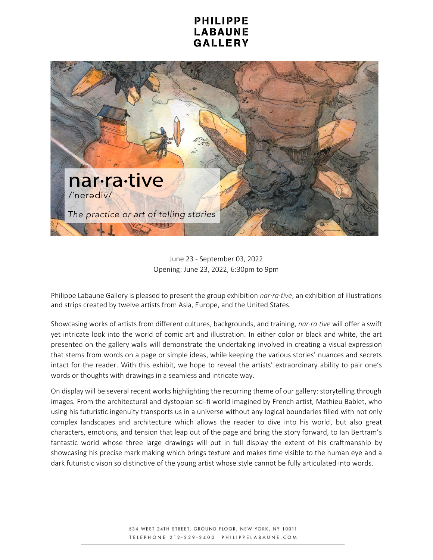## **PHILIPPE** LABAUNE GALLERY



June 23 - September 03, 2022 Opening: June 23, 2022, 6:30pm to 9pm

Philippe Labaune Gallery is pleased to present the group exhibition *nar·ra·tive*, an exhibition of illustrations and strips created by twelve artists from Asia, Europe, and the United States.

Showcasing works of artists from different cultures, backgrounds, and training, *nar·ra·tive* will offer a swift yet intricate look into the world of comic art and illustration. In either color or black and white, the art presented on the gallery walls will demonstrate the undertaking involved in creating a visual expression that stems from words on a page or simple ideas, while keeping the various stories' nuances and secrets intact for the reader. With this exhibit, we hope to reveal the artists' extraordinary ability to pair one's words or thoughts with drawings in a seamless and intricate way.

On display will be several recent works highlighting the recurring theme of our gallery: storytelling through images. From the architectural and dystopian sci-fi world imagined by French artist, Mathieu Bablet, who using his futuristic ingenuity transports us in a universe without any logical boundaries filled with not only complex landscapes and architecture which allows the reader to dive into his world, but also great characters, emotions, and tension that leap out of the page and bring the story forward, to Ian Bertram's fantastic world whose three large drawings will put in full display the extent of his craftmanship by showcasing his precise mark making which brings texture and makes time visible to the human eye and a dark futuristic vison so distinctive of the young artist whose style cannot be fully articulated into words.

> 534 WEST 24TH STREET, GROUND FLOOR, NEW YORK, NY 10011 TELEPHONE 212-229-2400 PHILIPPELABAUNE.COM